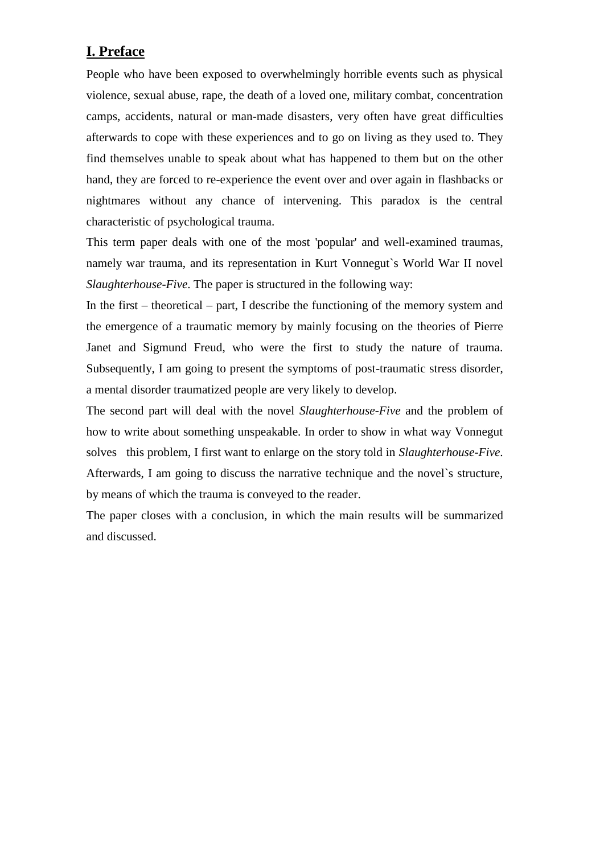# **I. Preface**

People who have been exposed to overwhelmingly horrible events such as physical violence, sexual abuse, rape, the death of a loved one, military combat, concentration camps, accidents, natural or man-made disasters, very often have great difficulties afterwards to cope with these experiences and to go on living as they used to. They find themselves unable to speak about what has happened to them but on the other hand, they are forced to re-experience the event over and over again in flashbacks or nightmares without any chance of intervening. This paradox is the central characteristic of psychological trauma.

This term paper deals with one of the most 'popular' and well-examined traumas, namely war trauma, and its representation in Kurt Vonnegut`s World War II novel *Slaughterhouse-Five*. The paper is structured in the following way:

In the first – theoretical – part, I describe the functioning of the memory system and the emergence of a traumatic memory by mainly focusing on the theories of Pierre Janet and Sigmund Freud, who were the first to study the nature of trauma. Subsequently, I am going to present the symptoms of post-traumatic stress disorder, a mental disorder traumatized people are very likely to develop.

The second part will deal with the novel *Slaughterhouse-Five* and the problem of how to write about something unspeakable. In order to show in what way Vonnegut solves this problem, I first want to enlarge on the story told in *Slaughterhouse-Five*. Afterwards, I am going to discuss the narrative technique and the novel`s structure, by means of which the trauma is conveyed to the reader.

The paper closes with a conclusion, in which the main results will be summarized and discussed.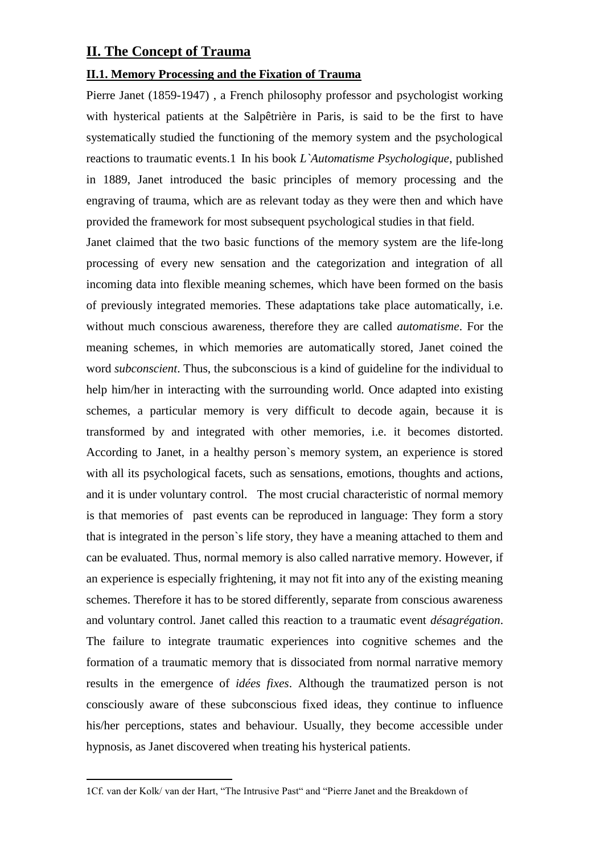### **II. The Concept of Trauma**

#### **II.1. Memory Processing and the Fixation of Trauma**

Pierre Janet (1859-1947) , a French philosophy professor and psychologist working with hysterical patients at the Salpêtrière in Paris, is said to be the first to have systematically studied the functioning of the memory system and the psychological reactions to traumatic events.1 In his book *L`Automatisme Psychologique*, published in 1889, Janet introduced the basic principles of memory processing and the engraving of trauma, which are as relevant today as they were then and which have provided the framework for most subsequent psychological studies in that field.

Janet claimed that the two basic functions of the memory system are the life-long processing of every new sensation and the categorization and integration of all incoming data into flexible meaning schemes, which have been formed on the basis of previously integrated memories. These adaptations take place automatically, i.e. without much conscious awareness, therefore they are called *automatisme*. For the meaning schemes, in which memories are automatically stored, Janet coined the word *subconscient*. Thus, the subconscious is a kind of guideline for the individual to help him/her in interacting with the surrounding world. Once adapted into existing schemes, a particular memory is very difficult to decode again, because it is transformed by and integrated with other memories, i.e. it becomes distorted. According to Janet, in a healthy person`s memory system, an experience is stored with all its psychological facets, such as sensations, emotions, thoughts and actions, and it is under voluntary control. The most crucial characteristic of normal memory is that memories of past events can be reproduced in language: They form a story that is integrated in the person`s life story, they have a meaning attached to them and can be evaluated. Thus, normal memory is also called narrative memory. However, if an experience is especially frightening, it may not fit into any of the existing meaning schemes. Therefore it has to be stored differently, separate from conscious awareness and voluntary control. Janet called this reaction to a traumatic event *désagrégation*. The failure to integrate traumatic experiences into cognitive schemes and the formation of a traumatic memory that is dissociated from normal narrative memory results in the emergence of *idées fixes*. Although the traumatized person is not consciously aware of these subconscious fixed ideas, they continue to influence his/her perceptions, states and behaviour. Usually, they become accessible under hypnosis, as Janet discovered when treating his hysterical patients.

<sup>1</sup>Cf. van der Kolk/ van der Hart, "The Intrusive Past" and "Pierre Janet and the Breakdown of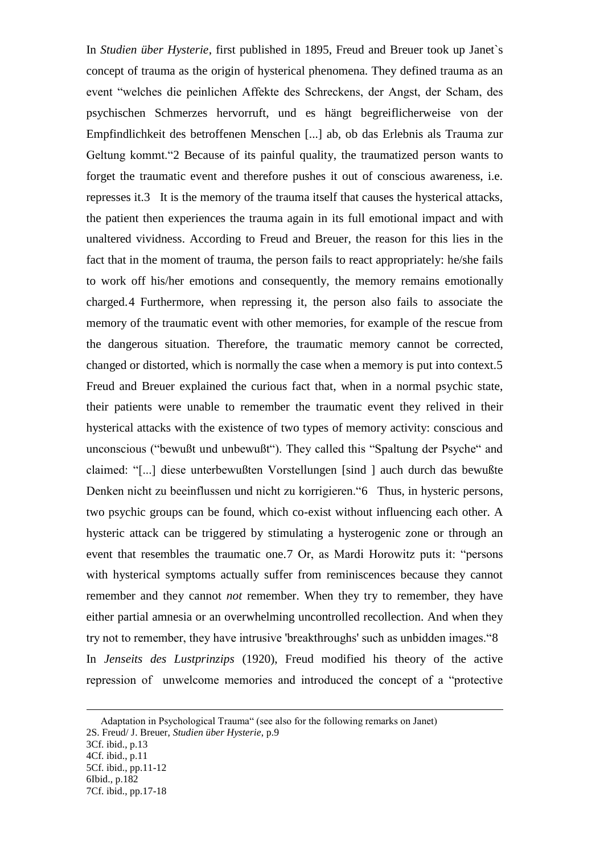In *Studien über Hysterie*, first published in 1895, Freud and Breuer took up Janet`s concept of trauma as the origin of hysterical phenomena. They defined trauma as an event "welches die peinlichen Affekte des Schreckens, der Angst, der Scham, des psychischen Schmerzes hervorruft, und es hängt begreiflicherweise von der Empfindlichkeit des betroffenen Menschen [...] ab, ob das Erlebnis als Trauma zur Geltung kommt."2 Because of its painful quality, the traumatized person wants to forget the traumatic event and therefore pushes it out of conscious awareness, i.e. represses it.3 It is the memory of the trauma itself that causes the hysterical attacks, the patient then experiences the trauma again in its full emotional impact and with unaltered vividness. According to Freud and Breuer, the reason for this lies in the fact that in the moment of trauma, the person fails to react appropriately: he/she fails to work off his/her emotions and consequently, the memory remains emotionally charged.4 Furthermore, when repressing it, the person also fails to associate the memory of the traumatic event with other memories, for example of the rescue from the dangerous situation. Therefore, the traumatic memory cannot be corrected, changed or distorted, which is normally the case when a memory is put into context.5 Freud and Breuer explained the curious fact that, when in a normal psychic state, their patients were unable to remember the traumatic event they relived in their hysterical attacks with the existence of two types of memory activity: conscious and unconscious ("bewußt und unbewußt"). They called this "Spaltung der Psyche" and claimed: "[...] diese unterbewußten Vorstellungen [sind ] auch durch das bewußte Denken nicht zu beeinflussen und nicht zu korrigieren."6 Thus, in hysteric persons, two psychic groups can be found, which co-exist without influencing each other. A hysteric attack can be triggered by stimulating a hysterogenic zone or through an event that resembles the traumatic one.7 Or, as Mardi Horowitz puts it: "persons with hysterical symptoms actually suffer from reminiscences because they cannot remember and they cannot *not* remember. When they try to remember, they have either partial amnesia or an overwhelming uncontrolled recollection. And when they try not to remember, they have intrusive 'breakthroughs' such as unbidden images."8 In *Jenseits des Lustprinzips* (1920), Freud modified his theory of the active repression of unwelcome memories and introduced the concept of a "protective

Adaptation in Psychological Trauma" (see also for the following remarks on Janet) 2S. Freud/ J. Breuer, *Studien über Hysterie*, p.9 3Cf. ibid., p.13 4Cf. ibid., p.11 5Cf. ibid., pp.11-12

<sup>6</sup>Ibid., p.182

<sup>7</sup>Cf. ibid., pp.17-18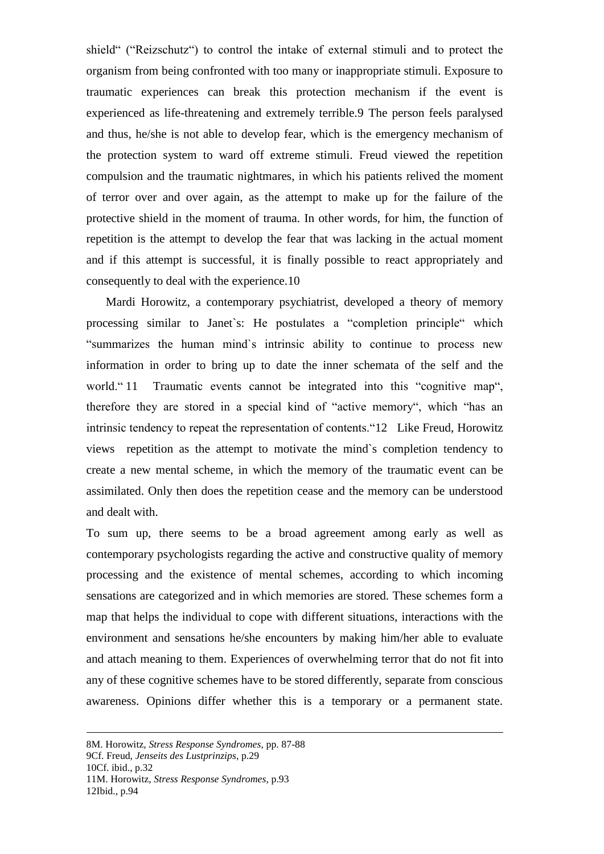shield" ("Reizschutz") to control the intake of external stimuli and to protect the organism from being confronted with too many or inappropriate stimuli. Exposure to traumatic experiences can break this protection mechanism if the event is experienced as life-threatening and extremely terrible.9 The person feels paralysed and thus, he/she is not able to develop fear, which is the emergency mechanism of the protection system to ward off extreme stimuli. Freud viewed the repetition compulsion and the traumatic nightmares, in which his patients relived the moment of terror over and over again, as the attempt to make up for the failure of the protective shield in the moment of trauma. In other words, for him, the function of repetition is the attempt to develop the fear that was lacking in the actual moment and if this attempt is successful, it is finally possible to react appropriately and consequently to deal with the experience.10

 Mardi Horowitz, a contemporary psychiatrist, developed a theory of memory processing similar to Janet`s: He postulates a "completion principle" which "summarizes the human mind`s intrinsic ability to continue to process new information in order to bring up to date the inner schemata of the self and the world. "11 Traumatic events cannot be integrated into this "cognitive map", therefore they are stored in a special kind of "active memory", which "has an intrinsic tendency to repeat the representation of contents."12 Like Freud, Horowitz views repetition as the attempt to motivate the mind`s completion tendency to create a new mental scheme, in which the memory of the traumatic event can be assimilated. Only then does the repetition cease and the memory can be understood and dealt with.

To sum up, there seems to be a broad agreement among early as well as contemporary psychologists regarding the active and constructive quality of memory processing and the existence of mental schemes, according to which incoming sensations are categorized and in which memories are stored. These schemes form a map that helps the individual to cope with different situations, interactions with the environment and sensations he/she encounters by making him/her able to evaluate and attach meaning to them. Experiences of overwhelming terror that do not fit into any of these cognitive schemes have to be stored differently, separate from conscious awareness. Opinions differ whether this is a temporary or a permanent state.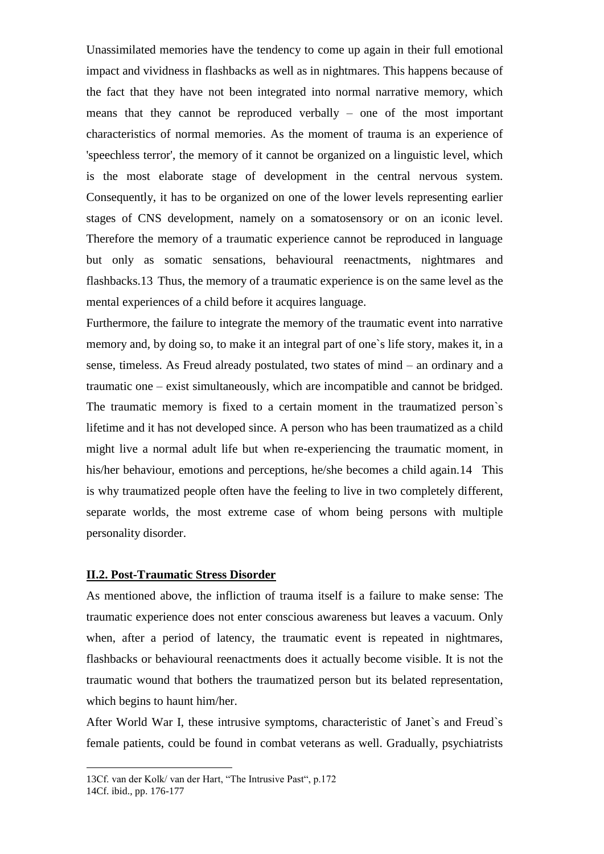Unassimilated memories have the tendency to come up again in their full emotional impact and vividness in flashbacks as well as in nightmares. This happens because of the fact that they have not been integrated into normal narrative memory, which means that they cannot be reproduced verbally – one of the most important characteristics of normal memories. As the moment of trauma is an experience of 'speechless terror', the memory of it cannot be organized on a linguistic level, which is the most elaborate stage of development in the central nervous system. Consequently, it has to be organized on one of the lower levels representing earlier stages of CNS development, namely on a somatosensory or on an iconic level. Therefore the memory of a traumatic experience cannot be reproduced in language but only as somatic sensations, behavioural reenactments, nightmares and flashbacks.13 Thus, the memory of a traumatic experience is on the same level as the mental experiences of a child before it acquires language.

Furthermore, the failure to integrate the memory of the traumatic event into narrative memory and, by doing so, to make it an integral part of one`s life story, makes it, in a sense, timeless. As Freud already postulated, two states of mind – an ordinary and a traumatic one – exist simultaneously, which are incompatible and cannot be bridged. The traumatic memory is fixed to a certain moment in the traumatized person`s lifetime and it has not developed since. A person who has been traumatized as a child might live a normal adult life but when re-experiencing the traumatic moment, in his/her behaviour, emotions and perceptions, he/she becomes a child again.14 This is why traumatized people often have the feeling to live in two completely different, separate worlds, the most extreme case of whom being persons with multiple personality disorder.

#### **II.2. Post-Traumatic Stress Disorder**

As mentioned above, the infliction of trauma itself is a failure to make sense: The traumatic experience does not enter conscious awareness but leaves a vacuum. Only when, after a period of latency, the traumatic event is repeated in nightmares, flashbacks or behavioural reenactments does it actually become visible. It is not the traumatic wound that bothers the traumatized person but its belated representation, which begins to haunt him/her.

After World War I, these intrusive symptoms, characteristic of Janet`s and Freud`s female patients, could be found in combat veterans as well. Gradually, psychiatrists

<sup>13</sup>Cf. van der Kolk/ van der Hart, "The Intrusive Past", p.172

<sup>14</sup>Cf. ibid., pp. 176-177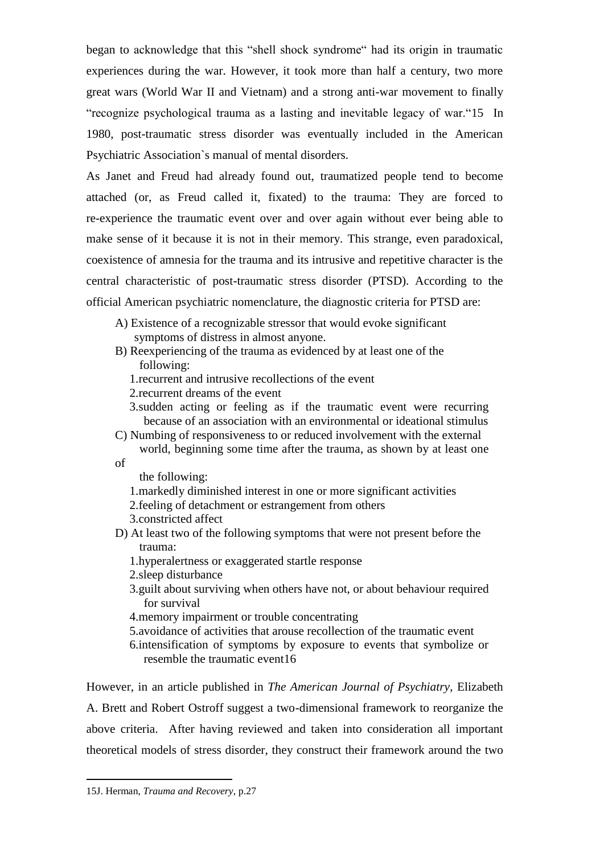began to acknowledge that this "shell shock syndrome" had its origin in traumatic experiences during the war. However, it took more than half a century, two more great wars (World War II and Vietnam) and a strong anti-war movement to finally "recognize psychological trauma as a lasting and inevitable legacy of war."15 In 1980, post-traumatic stress disorder was eventually included in the American Psychiatric Association`s manual of mental disorders.

As Janet and Freud had already found out, traumatized people tend to become attached (or, as Freud called it, fixated) to the trauma: They are forced to re-experience the traumatic event over and over again without ever being able to make sense of it because it is not in their memory. This strange, even paradoxical, coexistence of amnesia for the trauma and its intrusive and repetitive character is the central characteristic of post-traumatic stress disorder (PTSD). According to the official American psychiatric nomenclature, the diagnostic criteria for PTSD are:

- A) Existence of a recognizable stressor that would evoke significant symptoms of distress in almost anyone.
- B) Reexperiencing of the trauma as evidenced by at least one of the following:
	- 1.recurrent and intrusive recollections of the event
	- 2.recurrent dreams of the event
	- 3.sudden acting or feeling as if the traumatic event were recurring because of an association with an environmental or ideational stimulus
- C) Numbing of responsiveness to or reduced involvement with the external world, beginning some time after the trauma, as shown by at least one

of

the following:

- 1.markedly diminished interest in one or more significant activities
- 2.feeling of detachment or estrangement from others
- 3.constricted affect
- D) At least two of the following symptoms that were not present before the trauma:
	- 1.hyperalertness or exaggerated startle response
	- 2.sleep disturbance
	- 3.guilt about surviving when others have not, or about behaviour required for survival
	- 4.memory impairment or trouble concentrating
	- 5.avoidance of activities that arouse recollection of the traumatic event
	- 6.intensification of symptoms by exposure to events that symbolize or resemble the traumatic event16

However, in an article published in *The American Journal of Psychiatry*, Elizabeth A. Brett and Robert Ostroff suggest a two-dimensional framework to reorganize the above criteria. After having reviewed and taken into consideration all important theoretical models of stress disorder, they construct their framework around the two

<sup>15</sup>J. Herman, *Trauma and Recovery*, p.27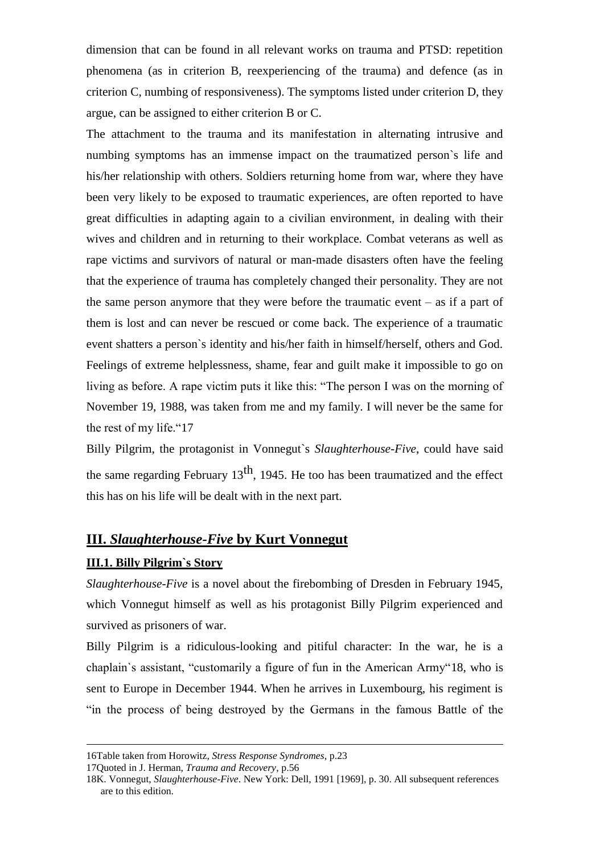dimension that can be found in all relevant works on trauma and PTSD: repetition phenomena (as in criterion B, reexperiencing of the trauma) and defence (as in criterion C, numbing of responsiveness). The symptoms listed under criterion D, they argue, can be assigned to either criterion B or C.

The attachment to the trauma and its manifestation in alternating intrusive and numbing symptoms has an immense impact on the traumatized person`s life and his/her relationship with others. Soldiers returning home from war, where they have been very likely to be exposed to traumatic experiences, are often reported to have great difficulties in adapting again to a civilian environment, in dealing with their wives and children and in returning to their workplace. Combat veterans as well as rape victims and survivors of natural or man-made disasters often have the feeling that the experience of trauma has completely changed their personality. They are not the same person anymore that they were before the traumatic event – as if a part of them is lost and can never be rescued or come back. The experience of a traumatic event shatters a person`s identity and his/her faith in himself/herself, others and God. Feelings of extreme helplessness, shame, fear and guilt make it impossible to go on living as before. A rape victim puts it like this: "The person I was on the morning of November 19, 1988, was taken from me and my family. I will never be the same for the rest of my life."17

Billy Pilgrim, the protagonist in Vonnegut`s *Slaughterhouse-Five*, could have said the same regarding February  $13<sup>th</sup>$ , 1945. He too has been traumatized and the effect this has on his life will be dealt with in the next part.

### **III.** *Slaughterhouse-Five* **by Kurt Vonnegut**

#### **III.1. Billy Pilgrim`s Story**

1

*Slaughterhouse-Five* is a novel about the firebombing of Dresden in February 1945, which Vonnegut himself as well as his protagonist Billy Pilgrim experienced and survived as prisoners of war.

Billy Pilgrim is a ridiculous-looking and pitiful character: In the war, he is a chaplain`s assistant, "customarily a figure of fun in the American Army"18, who is sent to Europe in December 1944. When he arrives in Luxembourg, his regiment is "in the process of being destroyed by the Germans in the famous Battle of the

<sup>16</sup>Table taken from Horowitz, *Stress Response Syndromes*, p.23

<sup>17</sup>Quoted in J. Herman, *Trauma and Recovery*, p.56

<sup>18</sup>K. Vonnegut, *Slaughterhouse-Five*. New York: Dell, 1991 [1969], p. 30. All subsequent references are to this edition.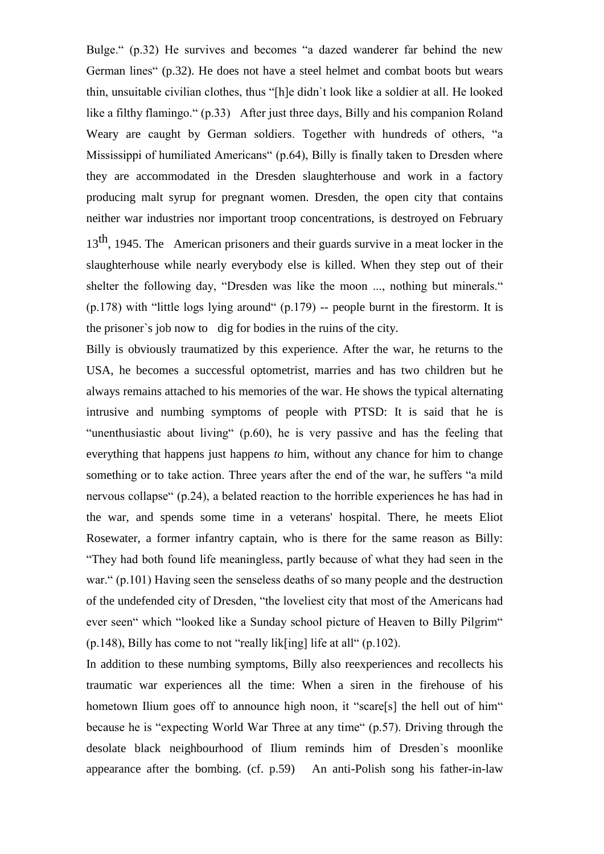Bulge." (p.32) He survives and becomes "a dazed wanderer far behind the new German lines" (p.32). He does not have a steel helmet and combat boots but wears thin, unsuitable civilian clothes, thus "[h]e didn`t look like a soldier at all. He looked like a filthy flamingo." (p.33) After just three days, Billy and his companion Roland Weary are caught by German soldiers. Together with hundreds of others, "a Mississippi of humiliated Americans" (p.64), Billy is finally taken to Dresden where they are accommodated in the Dresden slaughterhouse and work in a factory producing malt syrup for pregnant women. Dresden, the open city that contains neither war industries nor important troop concentrations, is destroyed on February  $13<sup>th</sup>$ , 1945. The American prisoners and their guards survive in a meat locker in the slaughterhouse while nearly everybody else is killed. When they step out of their shelter the following day, "Dresden was like the moon ..., nothing but minerals."  $(p.178)$  with "little logs lying around"  $(p.179)$  -- people burnt in the firestorm. It is the prisoner`s job now to dig for bodies in the ruins of the city.

Billy is obviously traumatized by this experience. After the war, he returns to the USA, he becomes a successful optometrist, marries and has two children but he always remains attached to his memories of the war. He shows the typical alternating intrusive and numbing symptoms of people with PTSD: It is said that he is "unenthusiastic about living" (p.60), he is very passive and has the feeling that everything that happens just happens *to* him, without any chance for him to change something or to take action. Three years after the end of the war, he suffers "a mild nervous collapse" (p.24), a belated reaction to the horrible experiences he has had in the war, and spends some time in a veterans' hospital. There, he meets Eliot Rosewater, a former infantry captain, who is there for the same reason as Billy: "They had both found life meaningless, partly because of what they had seen in the war." (p.101) Having seen the senseless deaths of so many people and the destruction of the undefended city of Dresden, "the loveliest city that most of the Americans had ever seen" which "looked like a Sunday school picture of Heaven to Billy Pilgrim"  $(p.148)$ , Billy has come to not "really lik[ing] life at all"  $(p.102)$ .

In addition to these numbing symptoms, Billy also reexperiences and recollects his traumatic war experiences all the time: When a siren in the firehouse of his hometown Ilium goes off to announce high noon, it "scare[s] the hell out of him" because he is "expecting World War Three at any time" (p.57). Driving through the desolate black neighbourhood of Ilium reminds him of Dresden`s moonlike appearance after the bombing. (cf. p.59) An anti-Polish song his father-in-law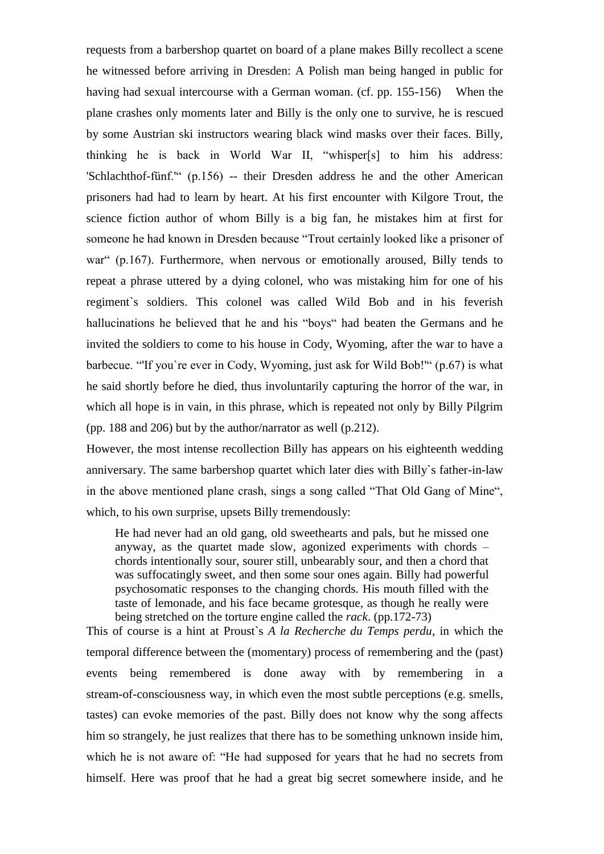requests from a barbershop quartet on board of a plane makes Billy recollect a scene he witnessed before arriving in Dresden: A Polish man being hanged in public for having had sexual intercourse with a German woman. (cf. pp. 155-156) When the plane crashes only moments later and Billy is the only one to survive, he is rescued by some Austrian ski instructors wearing black wind masks over their faces. Billy, thinking he is back in World War II, "whisper[s] to him his address: 'Schlachthof-fünf.'" (p.156) -- their Dresden address he and the other American prisoners had had to learn by heart. At his first encounter with Kilgore Trout, the science fiction author of whom Billy is a big fan, he mistakes him at first for someone he had known in Dresden because "Trout certainly looked like a prisoner of war" (p.167). Furthermore, when nervous or emotionally aroused, Billy tends to repeat a phrase uttered by a dying colonel, who was mistaking him for one of his regiment`s soldiers. This colonel was called Wild Bob and in his feverish hallucinations he believed that he and his "boys" had beaten the Germans and he invited the soldiers to come to his house in Cody, Wyoming, after the war to have a barbecue. "'If you`re ever in Cody, Wyoming, just ask for Wild Bob!'" (p.67) is what he said shortly before he died, thus involuntarily capturing the horror of the war, in which all hope is in vain, in this phrase, which is repeated not only by Billy Pilgrim (pp. 188 and 206) but by the author/narrator as well (p.212).

However, the most intense recollection Billy has appears on his eighteenth wedding anniversary. The same barbershop quartet which later dies with Billy`s father-in-law in the above mentioned plane crash, sings a song called "That Old Gang of Mine", which, to his own surprise, upsets Billy tremendously:

He had never had an old gang, old sweethearts and pals, but he missed one anyway, as the quartet made slow, agonized experiments with chords – chords intentionally sour, sourer still, unbearably sour, and then a chord that was suffocatingly sweet, and then some sour ones again. Billy had powerful psychosomatic responses to the changing chords. His mouth filled with the taste of lemonade, and his face became grotesque, as though he really were being stretched on the torture engine called the *rack*. (pp.172-73)

This of course is a hint at Proust`s *A la Recherche du Temps perdu*, in which the temporal difference between the (momentary) process of remembering and the (past) events being remembered is done away with by remembering in a stream-of-consciousness way, in which even the most subtle perceptions (e.g. smells, tastes) can evoke memories of the past. Billy does not know why the song affects him so strangely, he just realizes that there has to be something unknown inside him, which he is not aware of: "He had supposed for years that he had no secrets from himself. Here was proof that he had a great big secret somewhere inside, and he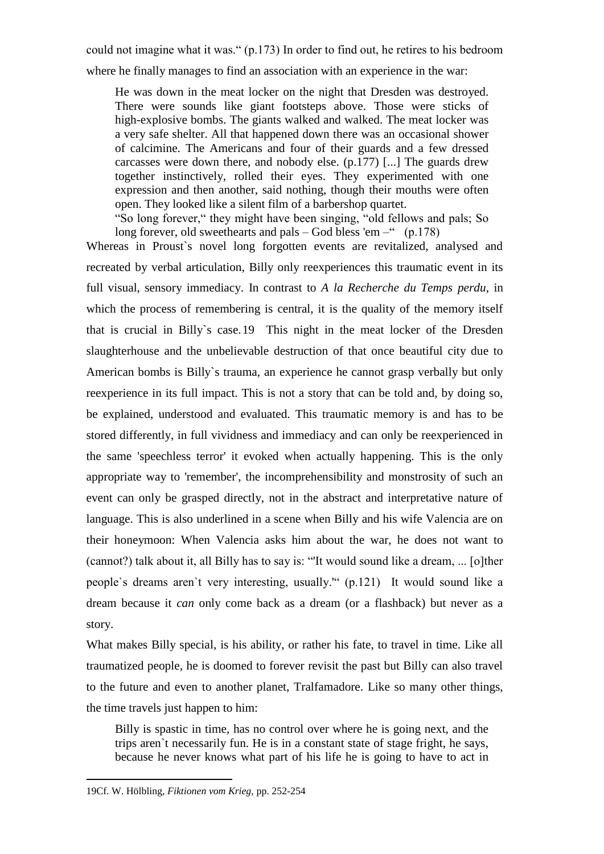could not imagine what it was." (p.173) In order to find out, he retires to his bedroom

where he finally manages to find an association with an experience in the war:

He was down in the meat locker on the night that Dresden was destroyed. There were sounds like giant footsteps above. Those were sticks of high-explosive bombs. The giants walked and walked. The meat locker was a very safe shelter. All that happened down there was an occasional shower of calcimine. The Americans and four of their guards and a few dressed carcasses were down there, and nobody else. (p.177) [...] The guards drew together instinctively, rolled their eyes. They experimented with one expression and then another, said nothing, though their mouths were often open. They looked like a silent film of a barbershop quartet.

"So long forever," they might have been singing, "old fellows and pals; So long forever, old sweethearts and pals – God bless 'em –"  $(p.178)$ 

Whereas in Proust`s novel long forgotten events are revitalized, analysed and recreated by verbal articulation, Billy only reexperiences this traumatic event in its full visual, sensory immediacy. In contrast to *A la Recherche du Temps perdu*, in which the process of remembering is central, it is the quality of the memory itself that is crucial in Billy`s case.19 This night in the meat locker of the Dresden slaughterhouse and the unbelievable destruction of that once beautiful city due to American bombs is Billy`s trauma, an experience he cannot grasp verbally but only reexperience in its full impact. This is not a story that can be told and, by doing so, be explained, understood and evaluated. This traumatic memory is and has to be stored differently, in full vividness and immediacy and can only be reexperienced in the same 'speechless terror' it evoked when actually happening. This is the only appropriate way to 'remember', the incomprehensibility and monstrosity of such an event can only be grasped directly, not in the abstract and interpretative nature of language. This is also underlined in a scene when Billy and his wife Valencia are on their honeymoon: When Valencia asks him about the war, he does not want to (cannot?) talk about it, all Billy has to say is: "'It would sound like a dream, ... [o]ther people`s dreams aren`t very interesting, usually.'" (p.121) It would sound like a dream because it *can* only come back as a dream (or a flashback) but never as a story.

What makes Billy special, is his ability, or rather his fate, to travel in time. Like all traumatized people, he is doomed to forever revisit the past but Billy can also travel to the future and even to another planet, Tralfamadore. Like so many other things, the time travels just happen to him:

Billy is spastic in time, has no control over where he is going next, and the trips aren`t necessarily fun. He is in a constant state of stage fright, he says, because he never knows what part of his life he is going to have to act in

<sup>19</sup>Cf. W. Hölbling, *Fiktionen vom Krieg,* pp. 252-254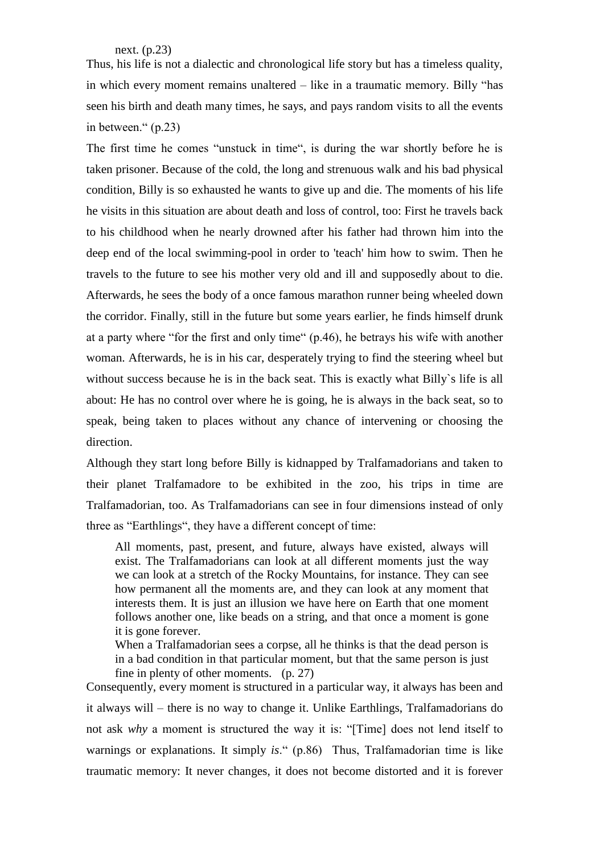next. (p.23)

Thus, his life is not a dialectic and chronological life story but has a timeless quality, in which every moment remains unaltered – like in a traumatic memory. Billy "has seen his birth and death many times, he says, and pays random visits to all the events in between." (p.23)

The first time he comes "unstuck in time", is during the war shortly before he is taken prisoner. Because of the cold, the long and strenuous walk and his bad physical condition, Billy is so exhausted he wants to give up and die. The moments of his life he visits in this situation are about death and loss of control, too: First he travels back to his childhood when he nearly drowned after his father had thrown him into the deep end of the local swimming-pool in order to 'teach' him how to swim. Then he travels to the future to see his mother very old and ill and supposedly about to die. Afterwards, he sees the body of a once famous marathon runner being wheeled down the corridor. Finally, still in the future but some years earlier, he finds himself drunk at a party where "for the first and only time" (p.46), he betrays his wife with another woman. Afterwards, he is in his car, desperately trying to find the steering wheel but without success because he is in the back seat. This is exactly what Billy's life is all about: He has no control over where he is going, he is always in the back seat, so to speak, being taken to places without any chance of intervening or choosing the direction.

Although they start long before Billy is kidnapped by Tralfamadorians and taken to their planet Tralfamadore to be exhibited in the zoo, his trips in time are Tralfamadorian, too. As Tralfamadorians can see in four dimensions instead of only three as "Earthlings", they have a different concept of time:

All moments, past, present, and future, always have existed, always will exist. The Tralfamadorians can look at all different moments just the way we can look at a stretch of the Rocky Mountains, for instance. They can see how permanent all the moments are, and they can look at any moment that interests them. It is just an illusion we have here on Earth that one moment follows another one, like beads on a string, and that once a moment is gone it is gone forever.

When a Tralfamadorian sees a corpse, all he thinks is that the dead person is in a bad condition in that particular moment, but that the same person is just fine in plenty of other moments. (p. 27)

Consequently, every moment is structured in a particular way, it always has been and it always will – there is no way to change it. Unlike Earthlings, Tralfamadorians do not ask *why* a moment is structured the way it is: "[Time] does not lend itself to warnings or explanations. It simply *is*." (p.86) Thus, Tralfamadorian time is like traumatic memory: It never changes, it does not become distorted and it is forever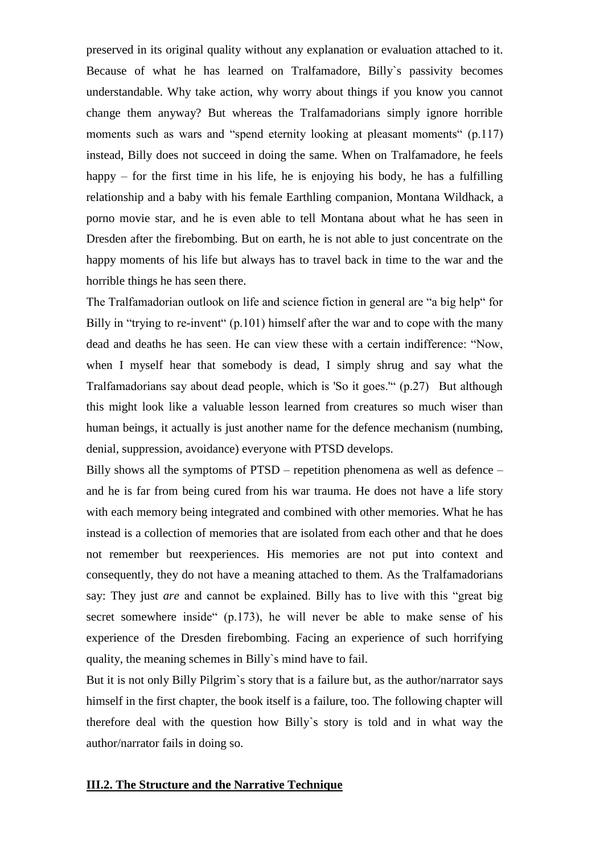preserved in its original quality without any explanation or evaluation attached to it. Because of what he has learned on Tralfamadore, Billy`s passivity becomes understandable. Why take action, why worry about things if you know you cannot change them anyway? But whereas the Tralfamadorians simply ignore horrible moments such as wars and "spend eternity looking at pleasant moments" (p.117) instead, Billy does not succeed in doing the same. When on Tralfamadore, he feels happy – for the first time in his life, he is enjoying his body, he has a fulfilling relationship and a baby with his female Earthling companion, Montana Wildhack, a porno movie star, and he is even able to tell Montana about what he has seen in Dresden after the firebombing. But on earth, he is not able to just concentrate on the happy moments of his life but always has to travel back in time to the war and the horrible things he has seen there.

The Tralfamadorian outlook on life and science fiction in general are "a big help" for Billy in "trying to re-invent" (p.101) himself after the war and to cope with the many dead and deaths he has seen. He can view these with a certain indifference: "Now, when I myself hear that somebody is dead, I simply shrug and say what the Tralfamadorians say about dead people, which is 'So it goes.'" (p.27) But although this might look like a valuable lesson learned from creatures so much wiser than human beings, it actually is just another name for the defence mechanism (numbing, denial, suppression, avoidance) everyone with PTSD develops.

Billy shows all the symptoms of PTSD – repetition phenomena as well as defence – and he is far from being cured from his war trauma. He does not have a life story with each memory being integrated and combined with other memories. What he has instead is a collection of memories that are isolated from each other and that he does not remember but reexperiences. His memories are not put into context and consequently, they do not have a meaning attached to them. As the Tralfamadorians say: They just *are* and cannot be explained. Billy has to live with this "great big secret somewhere inside (p.173), he will never be able to make sense of his experience of the Dresden firebombing. Facing an experience of such horrifying quality, the meaning schemes in Billy`s mind have to fail.

But it is not only Billy Pilgrim`s story that is a failure but, as the author/narrator says himself in the first chapter, the book itself is a failure, too. The following chapter will therefore deal with the question how Billy`s story is told and in what way the author/narrator fails in doing so.

#### **III.2. The Structure and the Narrative Technique**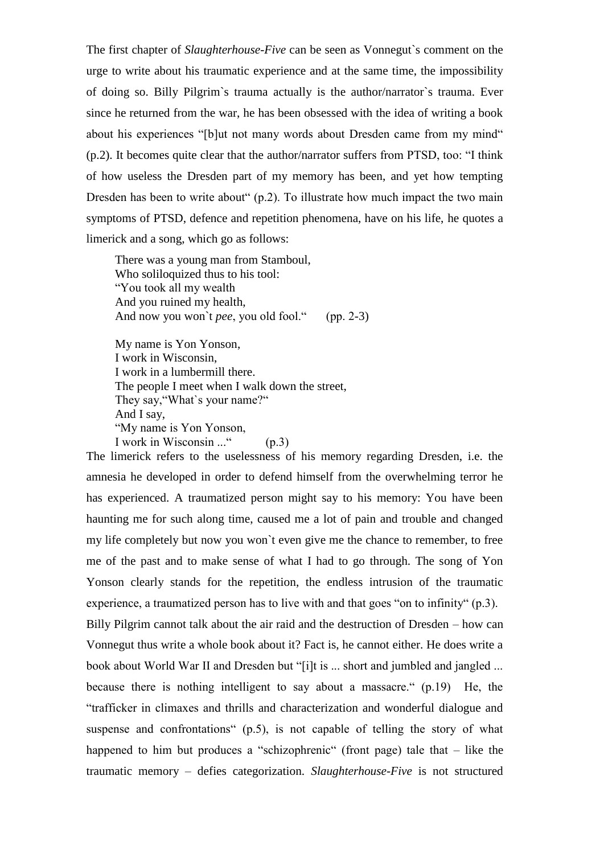The first chapter of *Slaughterhouse-Five* can be seen as Vonnegut`s comment on the urge to write about his traumatic experience and at the same time, the impossibility of doing so. Billy Pilgrim`s trauma actually is the author/narrator`s trauma. Ever since he returned from the war, he has been obsessed with the idea of writing a book about his experiences "[b]ut not many words about Dresden came from my mind" (p.2). It becomes quite clear that the author/narrator suffers from PTSD, too: "I think of how useless the Dresden part of my memory has been, and yet how tempting Dresden has been to write about" (p.2). To illustrate how much impact the two main symptoms of PTSD, defence and repetition phenomena, have on his life, he quotes a limerick and a song, which go as follows:

There was a young man from Stamboul, Who soliloquized thus to his tool: "You took all my wealth And you ruined my health, And now you won't *pee*, you old fool." (pp. 2-3)

My name is Yon Yonson, I work in Wisconsin, I work in a lumbermill there. The people I meet when I walk down the street, They say,"What`s your name?" And I say, "My name is Yon Yonson, I work in Wisconsin ..." (p.3)

The limerick refers to the uselessness of his memory regarding Dresden, i.e. the amnesia he developed in order to defend himself from the overwhelming terror he has experienced. A traumatized person might say to his memory: You have been haunting me for such along time, caused me a lot of pain and trouble and changed my life completely but now you won`t even give me the chance to remember, to free me of the past and to make sense of what I had to go through. The song of Yon Yonson clearly stands for the repetition, the endless intrusion of the traumatic experience, a traumatized person has to live with and that goes "on to infinity" (p.3). Billy Pilgrim cannot talk about the air raid and the destruction of Dresden – how can Vonnegut thus write a whole book about it? Fact is, he cannot either. He does write a book about World War II and Dresden but "[i]t is ... short and jumbled and jangled ... because there is nothing intelligent to say about a massacre." (p.19) He, the "trafficker in climaxes and thrills and characterization and wonderful dialogue and suspense and confrontations" (p.5), is not capable of telling the story of what happened to him but produces a "schizophrenic" (front page) tale that – like the traumatic memory – defies categorization. *Slaughterhouse-Five* is not structured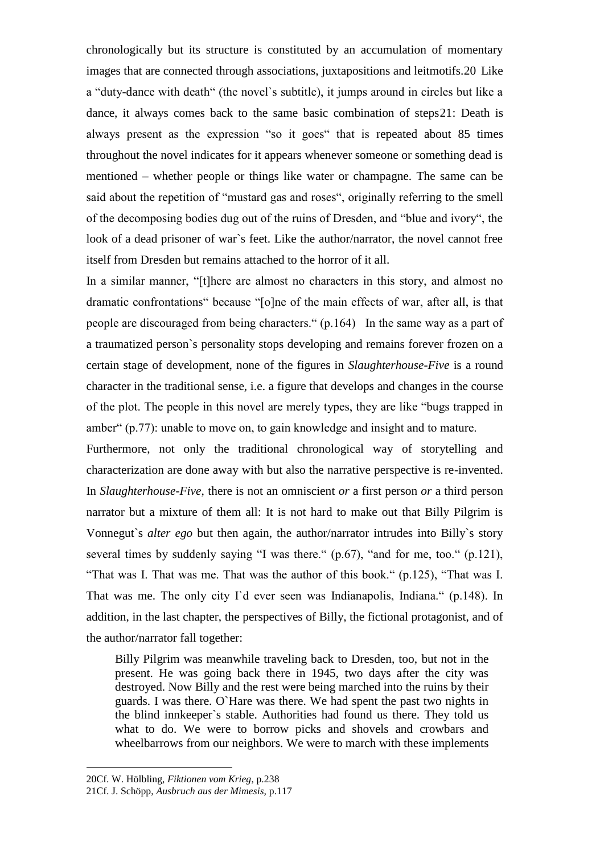chronologically but its structure is constituted by an accumulation of momentary images that are connected through associations, juxtapositions and leitmotifs.20 Like a "duty-dance with death" (the novel`s subtitle), it jumps around in circles but like a dance, it always comes back to the same basic combination of steps21: Death is always present as the expression "so it goes" that is repeated about 85 times throughout the novel indicates for it appears whenever someone or something dead is mentioned – whether people or things like water or champagne. The same can be said about the repetition of "mustard gas and roses", originally referring to the smell of the decomposing bodies dug out of the ruins of Dresden, and "blue and ivory", the look of a dead prisoner of war`s feet. Like the author/narrator, the novel cannot free itself from Dresden but remains attached to the horror of it all.

In a similar manner, "[t]here are almost no characters in this story, and almost no dramatic confrontations" because "[o]ne of the main effects of war, after all, is that people are discouraged from being characters." (p.164) In the same way as a part of a traumatized person`s personality stops developing and remains forever frozen on a certain stage of development, none of the figures in *Slaughterhouse-Five* is a round character in the traditional sense, i.e. a figure that develops and changes in the course of the plot. The people in this novel are merely types, they are like "bugs trapped in amber" (p.77): unable to move on, to gain knowledge and insight and to mature.

Furthermore, not only the traditional chronological way of storytelling and characterization are done away with but also the narrative perspective is re-invented. In *Slaughterhouse-Five*, there is not an omniscient *or* a first person *or* a third person narrator but a mixture of them all: It is not hard to make out that Billy Pilgrim is Vonnegut`s *alter ego* but then again, the author/narrator intrudes into Billy`s story several times by suddenly saying "I was there." (p.67), "and for me, too." (p.121), "That was I. That was me. That was the author of this book." (p.125), "That was I. That was me. The only city I'd ever seen was Indianapolis, Indiana." (p.148). In addition, in the last chapter, the perspectives of Billy, the fictional protagonist, and of the author/narrator fall together:

Billy Pilgrim was meanwhile traveling back to Dresden, too, but not in the present. He was going back there in 1945, two days after the city was destroyed. Now Billy and the rest were being marched into the ruins by their guards. I was there. O`Hare was there. We had spent the past two nights in the blind innkeeper`s stable. Authorities had found us there. They told us what to do. We were to borrow picks and shovels and crowbars and wheelbarrows from our neighbors. We were to march with these implements

<sup>20</sup>Cf. W. Hölbling, *Fiktionen vom Krieg*, p.238

<sup>21</sup>Cf. J. Schöpp, *Ausbruch aus der Mimesis,* p.117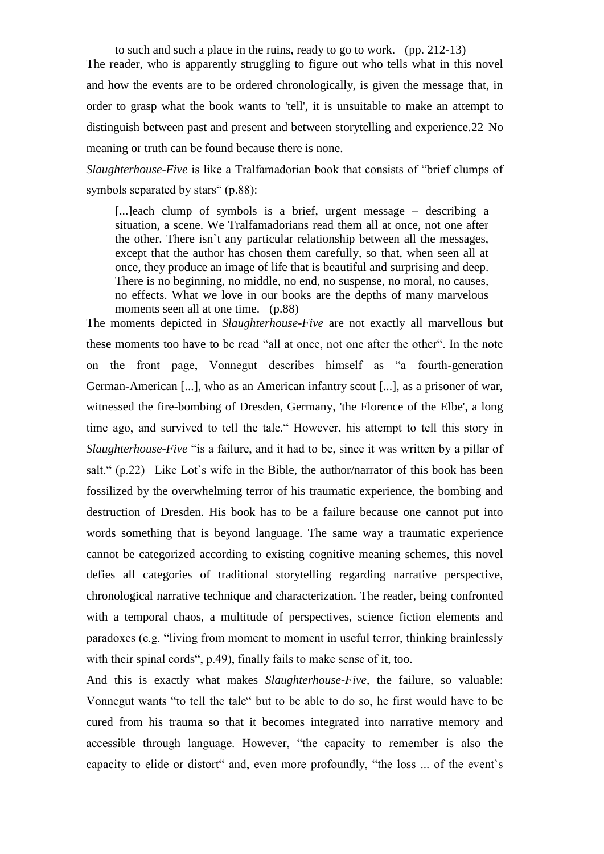to such and such a place in the ruins, ready to go to work. (pp. 212-13) The reader, who is apparently struggling to figure out who tells what in this novel and how the events are to be ordered chronologically, is given the message that, in order to grasp what the book wants to 'tell', it is unsuitable to make an attempt to distinguish between past and present and between storytelling and experience.22 No meaning or truth can be found because there is none.

*Slaughterhouse-Five* is like a Tralfamadorian book that consists of "brief clumps of symbols separated by stars" (p.88):

[...]each clump of symbols is a brief, urgent message – describing a situation, a scene. We Tralfamadorians read them all at once, not one after the other. There isn`t any particular relationship between all the messages, except that the author has chosen them carefully, so that, when seen all at once, they produce an image of life that is beautiful and surprising and deep. There is no beginning, no middle, no end, no suspense, no moral, no causes, no effects. What we love in our books are the depths of many marvelous moments seen all at one time. (p.88)

The moments depicted in *Slaughterhouse-Five* are not exactly all marvellous but these moments too have to be read "all at once, not one after the other". In the note on the front page, Vonnegut describes himself as "a fourth-generation German-American [...], who as an American infantry scout [...], as a prisoner of war, witnessed the fire-bombing of Dresden, Germany, 'the Florence of the Elbe', a long time ago, and survived to tell the tale." However, his attempt to tell this story in *Slaughterhouse-Five* "is a failure, and it had to be, since it was written by a pillar of salt." (p.22) Like Lot's wife in the Bible, the author/narrator of this book has been fossilized by the overwhelming terror of his traumatic experience, the bombing and destruction of Dresden. His book has to be a failure because one cannot put into words something that is beyond language. The same way a traumatic experience cannot be categorized according to existing cognitive meaning schemes, this novel defies all categories of traditional storytelling regarding narrative perspective, chronological narrative technique and characterization. The reader, being confronted with a temporal chaos, a multitude of perspectives, science fiction elements and paradoxes (e.g. "living from moment to moment in useful terror, thinking brainlessly with their spinal cords", p.49), finally fails to make sense of it, too.

And this is exactly what makes *Slaughterhouse-Five*, the failure, so valuable: Vonnegut wants "to tell the tale" but to be able to do so, he first would have to be cured from his trauma so that it becomes integrated into narrative memory and accessible through language. However, "the capacity to remember is also the capacity to elide or distort" and, even more profoundly, "the loss ... of the event`s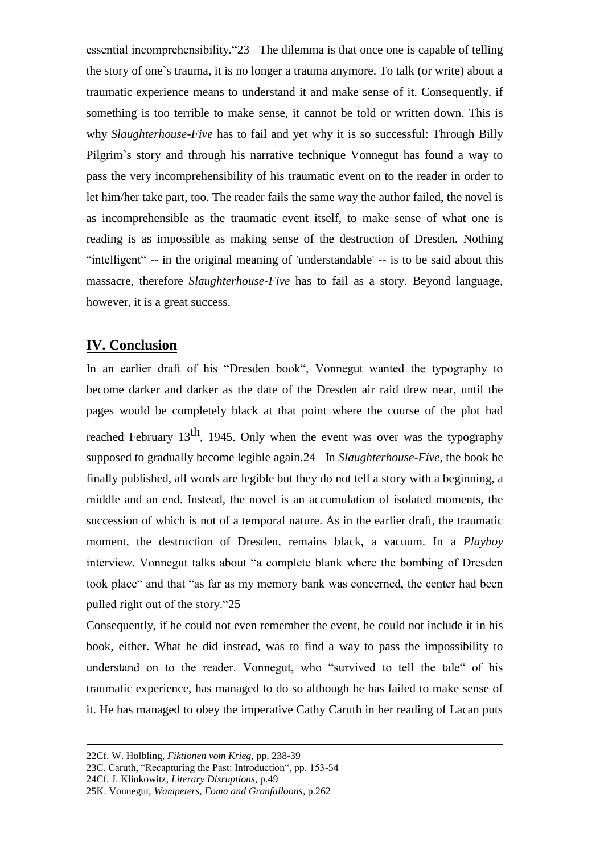essential incomprehensibility."23 The dilemma is that once one is capable of telling the story of one`s trauma, it is no longer a trauma anymore. To talk (or write) about a traumatic experience means to understand it and make sense of it. Consequently, if something is too terrible to make sense, it cannot be told or written down. This is why *Slaughterhouse-Five* has to fail and yet why it is so successful: Through Billy Pilgrim`s story and through his narrative technique Vonnegut has found a way to pass the very incomprehensibility of his traumatic event on to the reader in order to let him/her take part, too. The reader fails the same way the author failed, the novel is as incomprehensible as the traumatic event itself, to make sense of what one is reading is as impossible as making sense of the destruction of Dresden. Nothing "intelligent" -- in the original meaning of 'understandable' -- is to be said about this massacre, therefore *Slaughterhouse-Five* has to fail as a story. Beyond language, however, it is a great success.

### **IV. Conclusion**

In an earlier draft of his "Dresden book", Vonnegut wanted the typography to become darker and darker as the date of the Dresden air raid drew near, until the pages would be completely black at that point where the course of the plot had reached February  $13<sup>th</sup>$ , 1945. Only when the event was over was the typography supposed to gradually become legible again.24 In *Slaughterhouse-Five*, the book he finally published, all words are legible but they do not tell a story with a beginning, a middle and an end. Instead, the novel is an accumulation of isolated moments, the succession of which is not of a temporal nature. As in the earlier draft, the traumatic moment, the destruction of Dresden, remains black, a vacuum. In a *Playboy* interview, Vonnegut talks about "a complete blank where the bombing of Dresden took place" and that "as far as my memory bank was concerned, the center had been pulled right out of the story."25

Consequently, if he could not even remember the event, he could not include it in his book, either. What he did instead, was to find a way to pass the impossibility to understand on to the reader. Vonnegut, who "survived to tell the tale" of his traumatic experience, has managed to do so although he has failed to make sense of it. He has managed to obey the imperative Cathy Caruth in her reading of Lacan puts

<sup>22</sup>Cf. W. Hölbling, *Fiktionen vom Krieg,* pp. 238-39

<sup>23</sup>C. Caruth, "Recapturing the Past: Introduction", pp. 153-54

<sup>24</sup>Cf. J. Klinkowitz, *Literary Disruptions*, p.49

<sup>25</sup>K. Vonnegut, *Wampeters, Foma and Granfalloons*, p.262